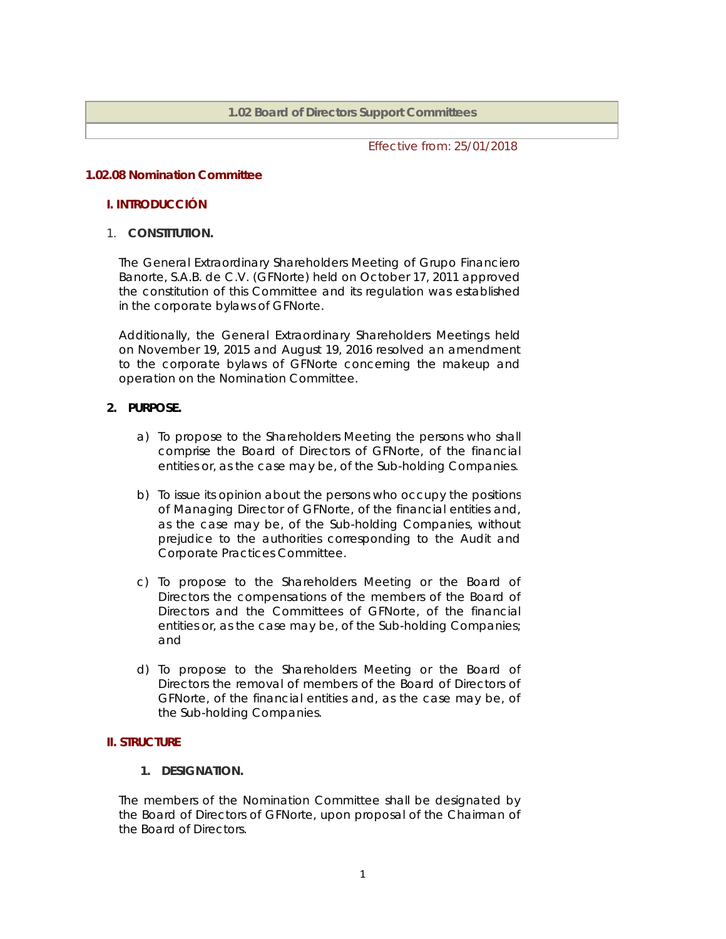**1.02 Board of Directors Support Committees**

Effective from: 25/01/2018

### **1.02.08 Nomination Committee**

### **I. INTRODUCCIÓN**

1. **CONSTITUTION.**

The General Extraordinary Shareholders Meeting of Grupo Financiero Banorte, S.A.B. de C.V. (GFNorte) held on October 17, 2011 approved the constitution of this Committee and its regulation was established in the corporate bylaws of GFNorte.

Additionally, the General Extraordinary Shareholders Meetings held on November 19, 2015 and August 19, 2016 resolved an amendment to the corporate bylaws of GFNorte concerning the makeup and operation on the Nomination Committee.

# **2. PURPOSE.**

- a) To propose to the Shareholders Meeting the persons who shall comprise the Board of Directors of GFNorte, of the financial entities or, as the case may be, of the Sub-holding Companies.
- b) To issue its opinion about the persons who occupy the positions of Managing Director of GFNorte, of the financial entities and, as the case may be, of the Sub-holding Companies, without prejudice to the authorities corresponding to the Audit and Corporate Practices Committee.
- c) To propose to the Shareholders Meeting or the Board of Directors the compensations of the members of the Board of Directors and the Committees of GFNorte, of the financial entities or, as the case may be, of the Sub-holding Companies; and
- d) To propose to the Shareholders Meeting or the Board of Directors the removal of members of the Board of Directors of GFNorte, of the financial entities and, as the case may be, of the Sub-holding Companies.

#### **II. STRUCTURE**

## **1. DESIGNATION.**

The members of the Nomination Committee shall be designated by the Board of Directors of GFNorte, upon proposal of the Chairman of the Board of Directors.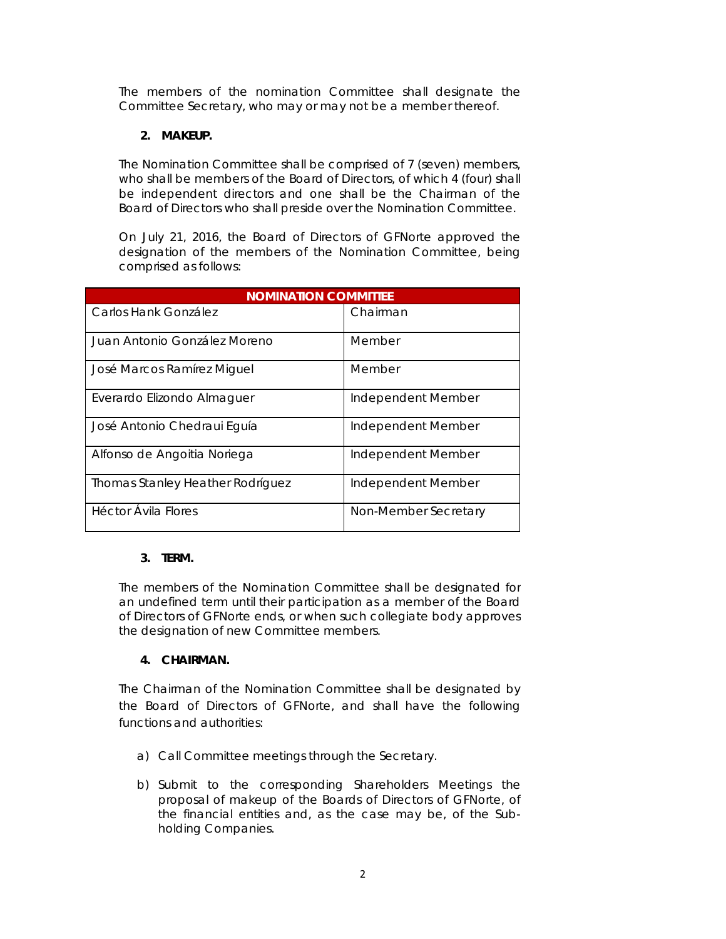The members of the nomination Committee shall designate the Committee Secretary, who may or may not be a member thereof.

# **2. MAKEUP.**

The Nomination Committee shall be comprised of 7 (seven) members, who shall be members of the Board of Directors, of which 4 (four) shall be independent directors and one shall be the Chairman of the Board of Directors who shall preside over the Nomination Committee.

On July 21, 2016, the Board of Directors of GFNorte approved the designation of the members of the Nomination Committee, being comprised as follows:

| <b>NOMINATION COMMITTEE</b>      |                      |
|----------------------------------|----------------------|
| Carlos Hank González             | Chairman             |
| Juan Antonio González Moreno     | Member               |
| José Marcos Ramírez Miquel       | Member               |
| Everardo Elizondo Almaguer       | Independent Member   |
| José Antonio Chedraui Eguía      | Independent Member   |
| Alfonso de Angoitia Noriega      | Independent Member   |
| Thomas Stanley Heather Rodríguez | Independent Member   |
| Héctor Ávila Flores              | Non-Member Secretary |

# **3. TERM.**

The members of the Nomination Committee shall be designated for an undefined term until their participation as a member of the Board of Directors of GFNorte ends, or when such collegiate body approves the designation of new Committee members.

# **4. CHAIRMAN.**

The Chairman of the Nomination Committee shall be designated by the Board of Directors of GFNorte, and shall have the following functions and authorities:

- a) Call Committee meetings through the Secretary.
- b) Submit to the corresponding Shareholders Meetings the proposal of makeup of the Boards of Directors of GFNorte, of the financial entities and, as the case may be, of the Subholding Companies.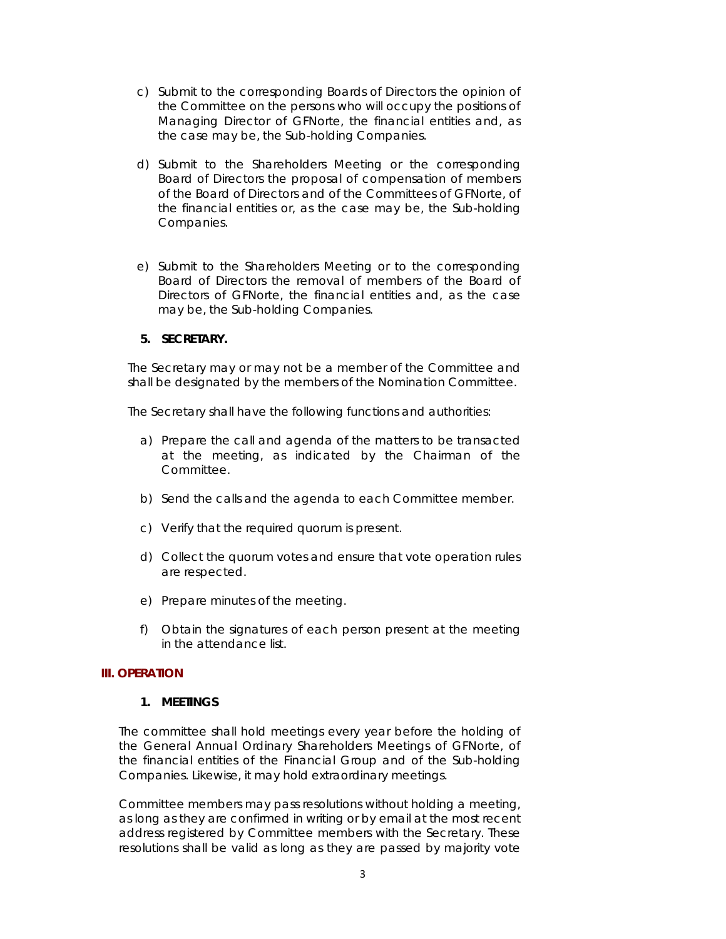- c) Submit to the corresponding Boards of Directors the opinion of the Committee on the persons who will occupy the positions of Managing Director of GFNorte, the financial entities and, as the case may be, the Sub-holding Companies.
- d) Submit to the Shareholders Meeting or the corresponding Board of Directors the proposal of compensation of members of the Board of Directors and of the Committees of GFNorte, of the financial entities or, as the case may be, the Sub-holding Companies.
- e) Submit to the Shareholders Meeting or to the corresponding Board of Directors the removal of members of the Board of Directors of GFNorte, the financial entities and, as the case may be, the Sub-holding Companies.

# **5. SECRETARY.**

The Secretary may or may not be a member of the Committee and shall be designated by the members of the Nomination Committee.

The Secretary shall have the following functions and authorities:

- a) Prepare the call and agenda of the matters to be transacted at the meeting, as indicated by the Chairman of the Committee.
- b) Send the calls and the agenda to each Committee member.
- c) Verify that the required quorum is present.
- d) Collect the quorum votes and ensure that vote operation rules are respected.
- e) Prepare minutes of the meeting.
- f) Obtain the signatures of each person present at the meeting in the attendance list.

#### **III. OPERATION**

#### **1. MEETINGS**

The committee shall hold meetings every year before the holding of the General Annual Ordinary Shareholders Meetings of GFNorte, of the financial entities of the Financial Group and of the Sub-holding Companies. Likewise, it may hold extraordinary meetings.

Committee members may pass resolutions without holding a meeting, as long as they are confirmed in writing or by email at the most recent address registered by Committee members with the Secretary. These resolutions shall be valid as long as they are passed by majority vote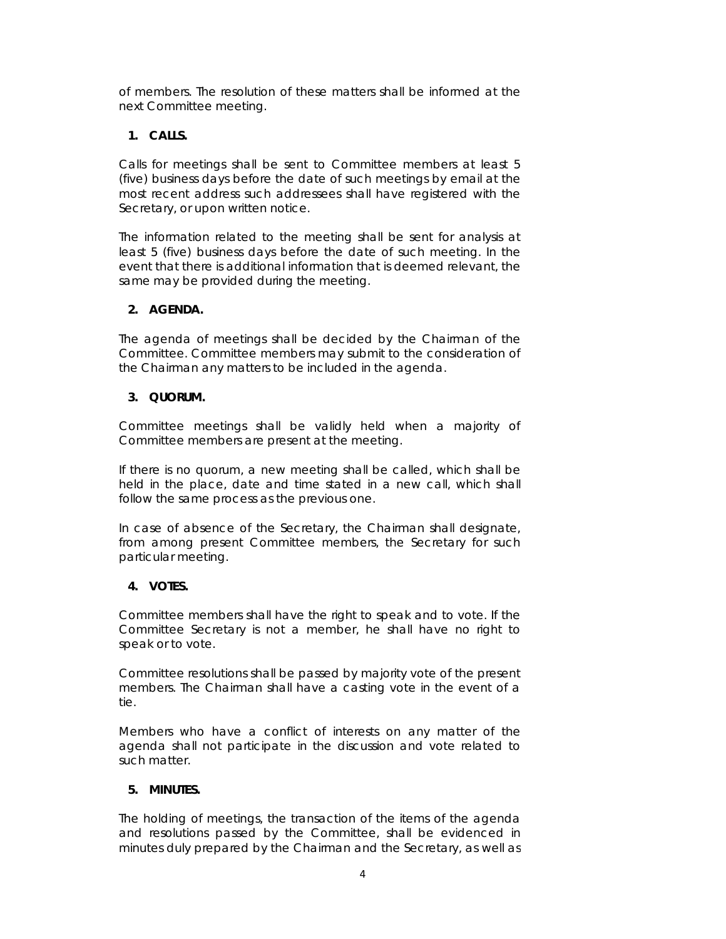of members. The resolution of these matters shall be informed at the next Committee meeting.

# **1. CALLS.**

Calls for meetings shall be sent to Committee members at least 5 (five) business days before the date of such meetings by email at the most recent address such addressees shall have registered with the Secretary, or upon written notice.

The information related to the meeting shall be sent for analysis at least 5 (five) business days before the date of such meeting. In the event that there is additional information that is deemed relevant, the same may be provided during the meeting.

# **2. AGENDA.**

The agenda of meetings shall be decided by the Chairman of the Committee. Committee members may submit to the consideration of the Chairman any matters to be included in the agenda.

# **3. QUORUM.**

Committee meetings shall be validly held when a majority of Committee members are present at the meeting.

If there is no quorum, a new meeting shall be called, which shall be held in the place, date and time stated in a new call, which shall follow the same process as the previous one.

In case of absence of the Secretary, the Chairman shall designate, from among present Committee members, the Secretary for such particular meeting.

# **4. VOTES.**

Committee members shall have the right to speak and to vote. If the Committee Secretary is not a member, he shall have no right to speak or to vote.

Committee resolutions shall be passed by majority vote of the present members. The Chairman shall have a casting vote in the event of a tie.

Members who have a conflict of interests on any matter of the agenda shall not participate in the discussion and vote related to such matter.

# **5. MINUTES.**

The holding of meetings, the transaction of the items of the agenda and resolutions passed by the Committee, shall be evidenced in minutes duly prepared by the Chairman and the Secretary, as well as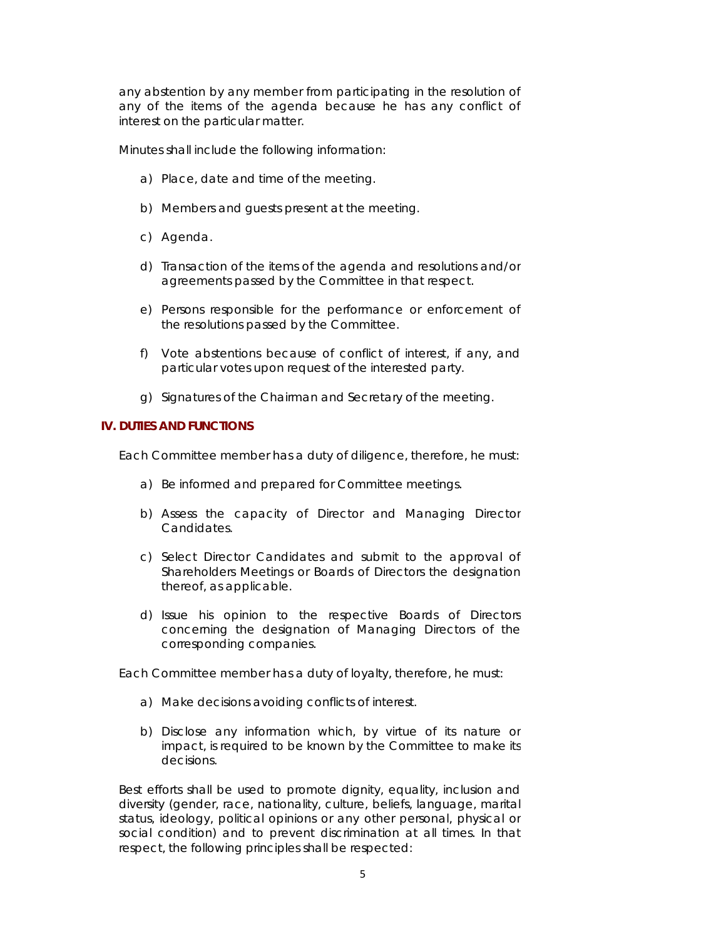any abstention by any member from participating in the resolution of any of the items of the agenda because he has any conflict of interest on the particular matter.

Minutes shall include the following information:

- a) Place, date and time of the meeting.
- b) Members and guests present at the meeting.
- c) Agenda.
- d) Transaction of the items of the agenda and resolutions and/or agreements passed by the Committee in that respect.
- e) Persons responsible for the performance or enforcement of the resolutions passed by the Committee.
- f) Vote abstentions because of conflict of interest, if any, and particular votes upon request of the interested party.
- g) Signatures of the Chairman and Secretary of the meeting.

#### **IV. DUTIES AND FUNCTIONS**

Each Committee member has a duty of diligence, therefore, he must:

- a) Be informed and prepared for Committee meetings.
- b) Assess the capacity of Director and Managing Director Candidates.
- c) Select Director Candidates and submit to the approval of Shareholders Meetings or Boards of Directors the designation thereof, as applicable.
- d) Issue his opinion to the respective Boards of Directors concerning the designation of Managing Directors of the corresponding companies.

Each Committee member has a duty of loyalty, therefore, he must:

- a) Make decisions avoiding conflicts of interest.
- b) Disclose any information which, by virtue of its nature or impact, is required to be known by the Committee to make its decisions.

Best efforts shall be used to promote dignity, equality, inclusion and diversity (gender, race, nationality, culture, beliefs, language, marital status, ideology, political opinions or any other personal, physical or social condition) and to prevent discrimination at all times. In that respect, the following principles shall be respected: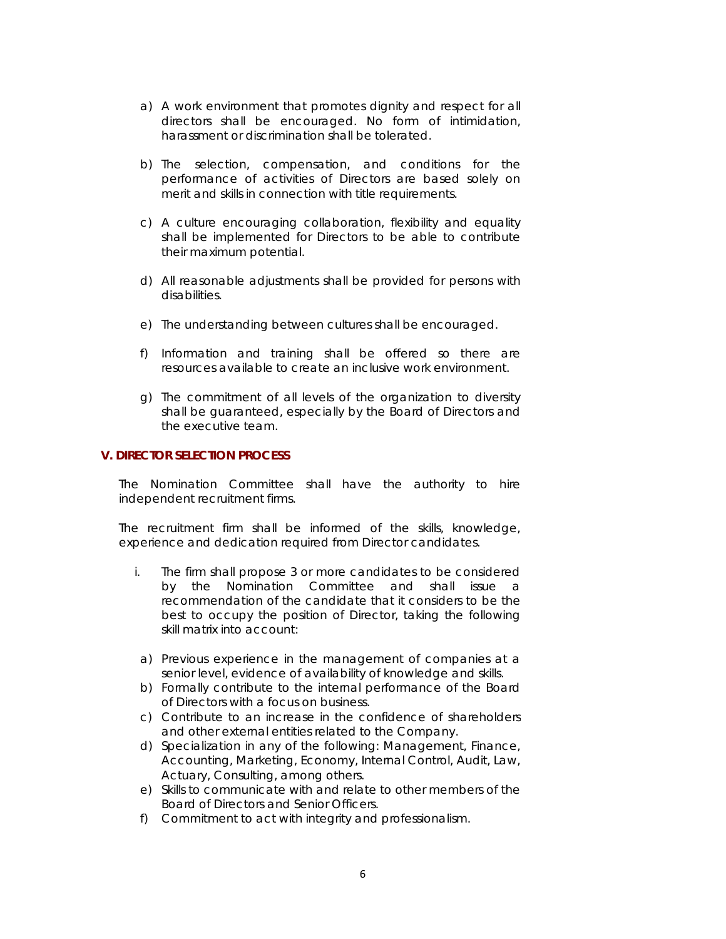- a) A work environment that promotes dignity and respect for all directors shall be encouraged. No form of intimidation, harassment or discrimination shall be tolerated.
- b) The selection, compensation, and conditions for the performance of activities of Directors are based solely on merit and skills in connection with title requirements.
- c) A culture encouraging collaboration, flexibility and equality shall be implemented for Directors to be able to contribute their maximum potential.
- d) All reasonable adjustments shall be provided for persons with disabilities.
- e) The understanding between cultures shall be encouraged.
- f) Information and training shall be offered so there are resources available to create an inclusive work environment.
- g) The commitment of all levels of the organization to diversity shall be guaranteed, especially by the Board of Directors and the executive team.

### **V. DIRECTOR SELECTION PROCESS**

The Nomination Committee shall have the authority to hire independent recruitment firms.

The recruitment firm shall be informed of the skills, knowledge, experience and dedication required from Director candidates.

- i. The firm shall propose 3 or more candidates to be considered by the Nomination Committee and shall issue a recommendation of the candidate that it considers to be the best to occupy the position of Director, taking the following skill matrix into account:
- a) Previous experience in the management of companies at a senior level, evidence of availability of knowledge and skills.
- b) Formally contribute to the internal performance of the Board of Directors with a focus on business.
- c) Contribute to an increase in the confidence of shareholders and other external entities related to the Company.
- d) Specialization in any of the following: Management, Finance, Accounting, Marketing, Economy, Internal Control, Audit, Law, Actuary, Consulting, among others.
- e) Skills to communicate with and relate to other members of the Board of Directors and Senior Officers.
- f) Commitment to act with integrity and professionalism.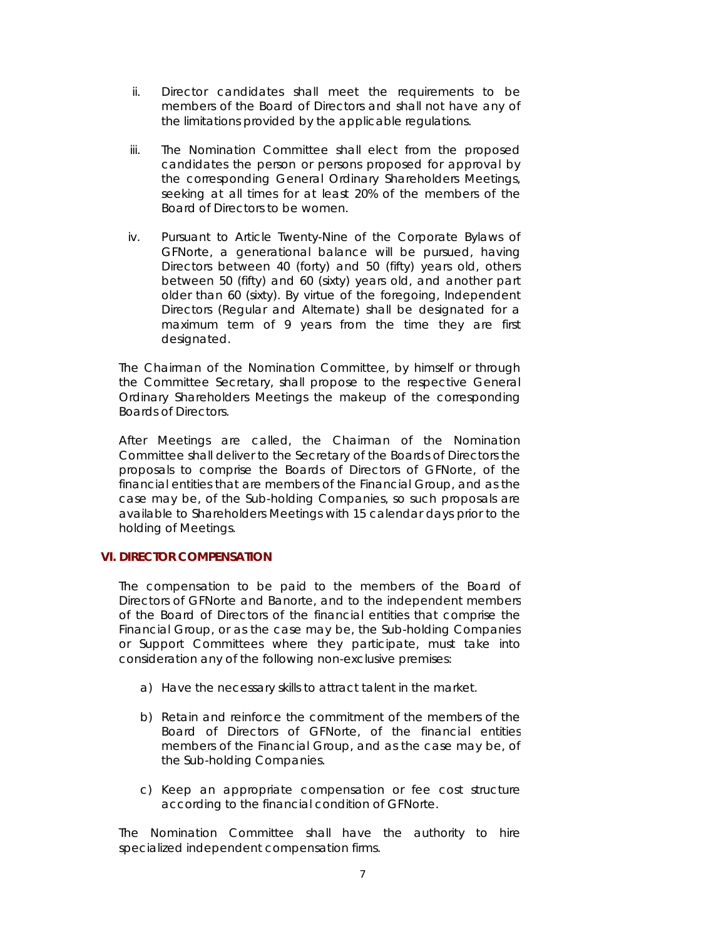- ii. Director candidates shall meet the requirements to be members of the Board of Directors and shall not have any of the limitations provided by the applicable regulations.
- iii. The Nomination Committee shall elect from the proposed candidates the person or persons proposed for approval by the corresponding General Ordinary Shareholders Meetings, seeking at all times for at least 20% of the members of the Board of Directors to be women.
- iv. Pursuant to Article Twenty-Nine of the Corporate Bylaws of GFNorte, a generational balance will be pursued, having Directors between 40 (forty) and 50 (fifty) years old, others between 50 (fifty) and 60 (sixty) years old, and another part older than 60 (sixty). By virtue of the foregoing, Independent Directors (Regular and Alternate) shall be designated for a maximum term of 9 years from the time they are first designated.

The Chairman of the Nomination Committee, by himself or through the Committee Secretary, shall propose to the respective General Ordinary Shareholders Meetings the makeup of the corresponding Boards of Directors.

After Meetings are called, the Chairman of the Nomination Committee shall deliver to the Secretary of the Boards of Directors the proposals to comprise the Boards of Directors of GFNorte, of the financial entities that are members of the Financial Group, and as the case may be, of the Sub-holding Companies, so such proposals are available to Shareholders Meetings with 15 calendar days prior to the holding of Meetings.

# **VI. DIRECTOR COMPENSATION**

The compensation to be paid to the members of the Board of Directors of GFNorte and Banorte, and to the independent members of the Board of Directors of the financial entities that comprise the Financial Group, or as the case may be, the Sub-holding Companies or Support Committees where they participate, must take into consideration any of the following non-exclusive premises:

- a) Have the necessary skills to attract talent in the market.
- b) Retain and reinforce the commitment of the members of the Board of Directors of GFNorte, of the financial entities members of the Financial Group, and as the case may be, of the Sub-holding Companies.
- c) Keep an appropriate compensation or fee cost structure according to the financial condition of GFNorte.

The Nomination Committee shall have the authority to hire specialized independent compensation firms.